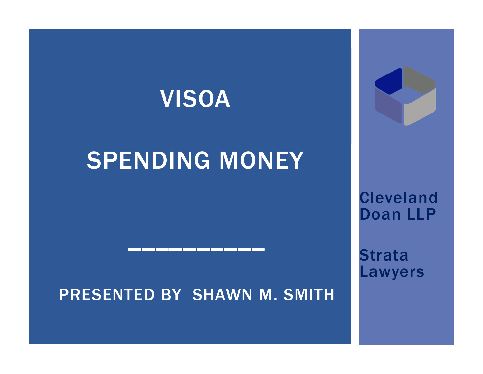# VISOA

# SPENDING MONEY

#### PRESENTED BY SHAWN M. SMITH

\_\_\_\_\_\_\_\_\_\_



**Strata** Lawyers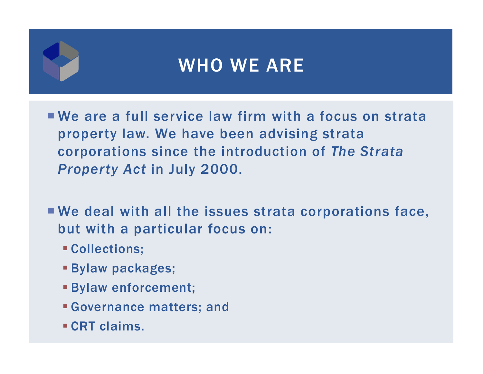#### WHO WE ARE

- We are a full service law firm with a focus on strata property law. We have been advising strata corporations since the introduction of *The Strata Property Act* in July 2000.
- We deal with all the issues strata corporations face, but with a particular focus on:
	- Collections;
	- Bylaw packages;
	- Bylaw enforcement;
	- Governance matters; and
	- CRT claims.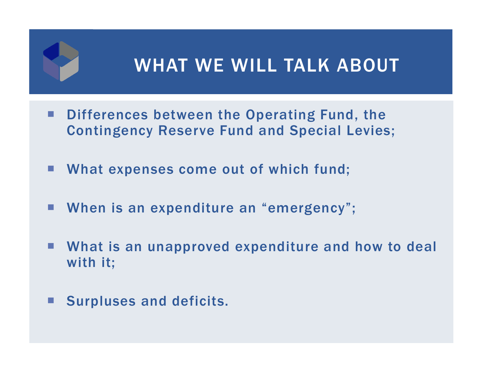#### WHAT WE WILL TALK ABOUT

- $\mathcal{L}^{\mathcal{L}}$  Differences between the Operating Fund, the Contingency Reserve Fund and Special Levies;
- $\mathcal{L}_{\mathcal{A}}$ What expenses come out of which fund;
- When is an expenditure an "emergency";
- What is an unapproved expenditure and how to deal with it;
- **Surpluses and deficits.**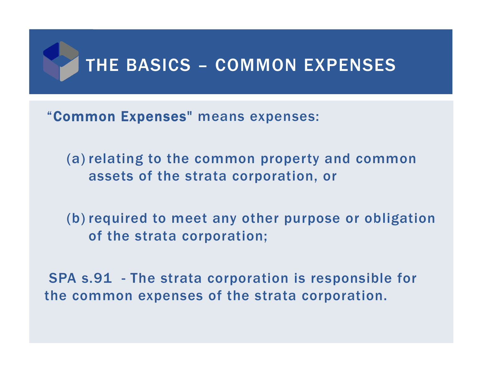

"Common Expenses" means expenses:

(a) relating to the common property and common assets of the strata corporation, or

(b) required to meet any other purpose or obligation of the strata corporation;

SPA s.91 - The strata corporation is responsible for the common expenses of the strata corporation.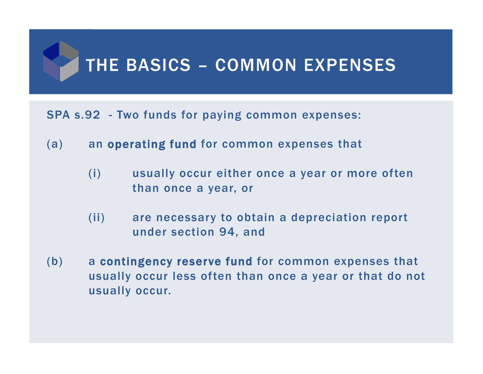# THE BASICS – COMMON EXPENSES

#### SPA s.92 - Two funds for paying common expenses:

- (a) an operating fund for common expenses that
	- (i) usually occur either once a year or more often than once a year, or
	- (ii) are necessary to obtain a depreciation report under section 94, and
- (b) a contingency reserve fund for common expenses that usually occur less often than once a year or that do not usually occur.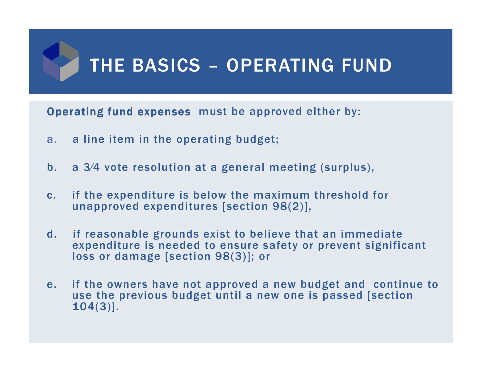# THE BASICS – OPERATING FUND

Operating fund expenses must be approved either by:

- a.a line item in the operating budget;
- b. a 3⁄4 vote resolution at a general meeting (surplus),
- c. if the expenditure is below the maximum threshold for unapproved expenditures [section 98(2)],
- d. if reasonable grounds exist to believe that an immediate expenditure is needed to ensure safety or prevent significant loss or damage [section 98(3)]; or
- e. if the owners have not approved a new budget and continue to use the previous budget until a new one is passed [section 104(3)].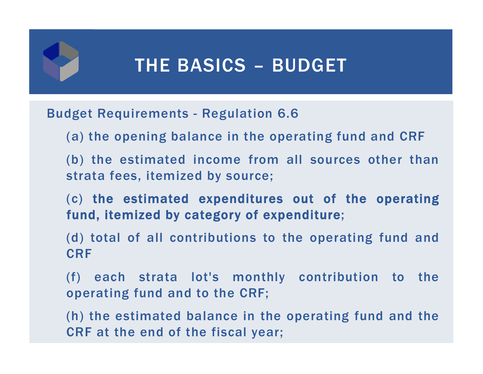# THE BASICS – BUDGET

#### Budget Requirements - Regulation 6.6

- (a) the opening balance in the operating fund and CRF
- (b) the estimated income from all sources other than strata fees, itemized by source;
- (c) the estimated expenditures out of the operating fund, itemized by category of expenditure;
- (d) total of all contributions to the operating fund and CRF
- (f) each strata lot's monthly contribution to the operating fund and to the CRF;
- (h) the estimated balance in the operating fund and the CRF at the end of the fiscal year;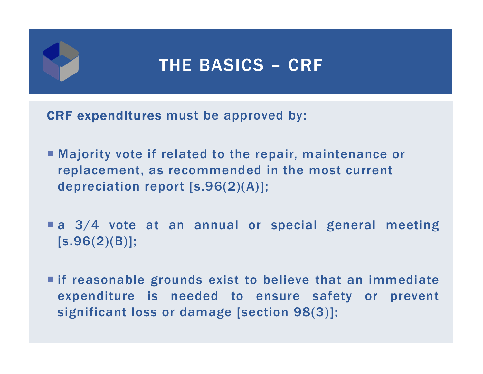### THE BASICS – CRF

CRF expenditures must be approved by:

- Majority vote if related to the repair, maintenance or replacement, as recommended in the most current depreciation report [s.96(2)(A)];
- a 3/4 vote at an annual or special general meeting [s.96(2)(B)];
- if reasonable grounds exist to believe that an immediate expenditure is needed to ensure safety or prevent significant loss or damage [section 98(3)];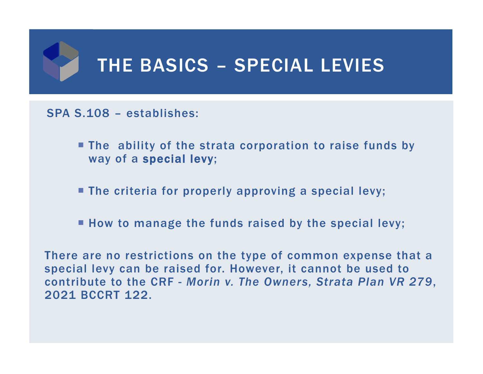# THE BASICS – SPECIAL LEVIES

#### SPA S.108 – establishes:

- **The ability of the strata corporation to raise funds by** way of a special levy;
- The criteria for properly approving a special levy;
- **How to manage the funds raised by the special levy;**

There are no restrictions on the type of common expense that a special levy can be raised for. However, it cannot be used to contribute to the CRF - *Morin v. The Owners, Strata Plan VR 279*, 2021 BCCRT 122.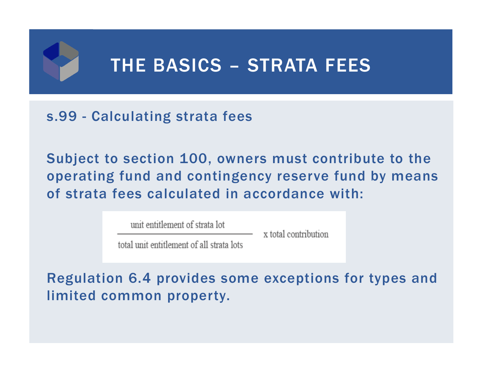# THE BASICS – STRATA FEES

#### s.99 - Calculating strata fees

Subject to section 100, owners must contribute to the operating fund and contingency reserve fund by means of strata fees calculated in accordance with:

unit entitlement of strata lot

x total contribution

total unit entitlement of all strata lots

Regulation 6.4 provides some exceptions for types and limited common property.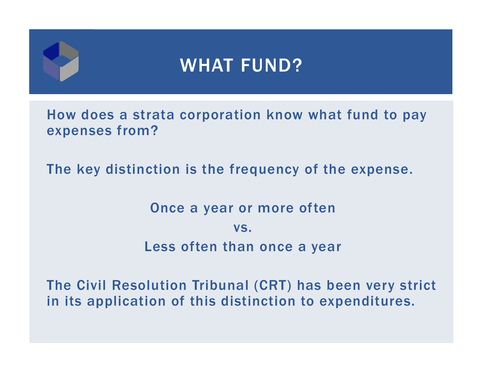How does a strata corporation know what fund to pay expenses from?

The key distinction is the frequency of the expense.

Once a year or more often vs.Less often than once a year

The Civil Resolution Tribunal (CRT) has been very strict in its application of this distinction to expenditures.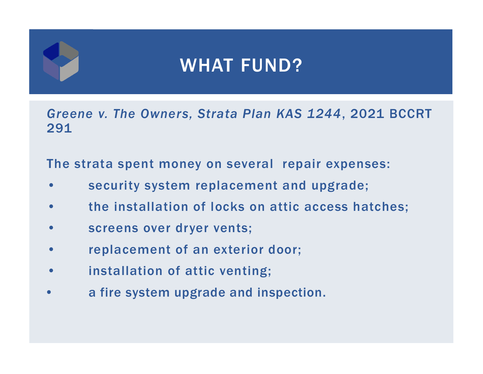*Greene v. The Owners, Strata Plan KAS 1244*, 2021 BCCRT 291

The strata spent money on several repair expenses:

- •security system replacement and upgrade;
- •the installation of locks on attic access hatches;
- •screens over dryer vents;
- •replacement of an exterior door;
- •installation of attic venting;
- •a fire system upgrade and inspection.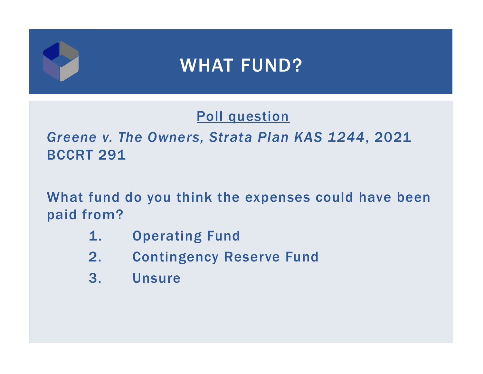#### Poll question

#### *Greene v. The Owners, Strata Plan KAS 1244*, 2021 BCCRT 291

What fund do you think the expenses could have been paid from?

- 1. Operating Fund
- 2. Contingency Reserve Fund
- 3. Unsure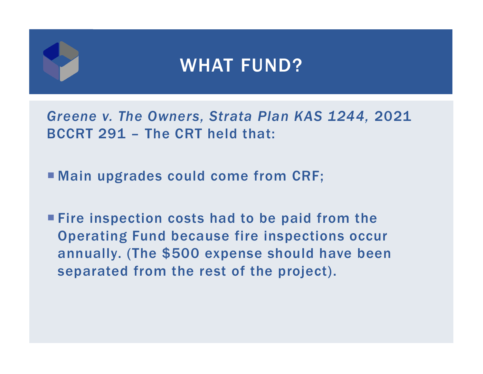*Greene v. The Owners, Strata Plan KAS 1244,* 2021 BCCRT 291 – The CRT held that:

Main upgrades could come from CRF;

**Fire inspection costs had to be paid from the** Operating Fund because fire inspections occur annually. (The \$500 expense should have been separated from the rest of the project).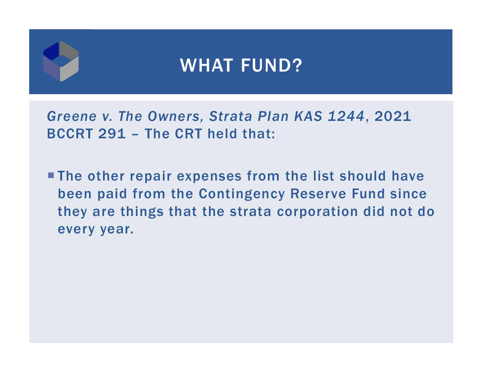*Greene v. The Owners, Strata Plan KAS 1244*, 2021 BCCRT 291 – The CRT held that:

**The other repair expenses from the list should have** been paid from the Contingency Reserve Fund since they are things that the strata corporation did not do every year.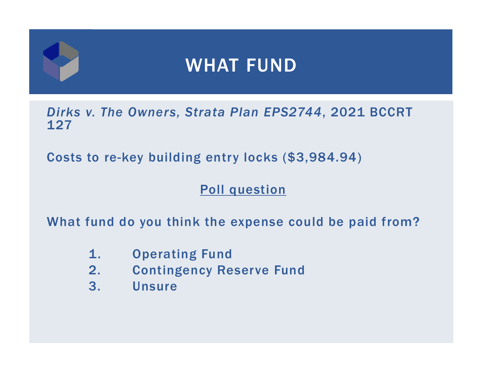*Dirks v. The Owners, Strata Plan EPS2744*, 2021 BCCRT 127

Costs to re-key building entry locks (\$3,984.94)

#### Poll question

What fund do you think the expense could be paid from?

- 1. Operating Fund
- 2. Contingency Reserve Fund
- 3. Unsure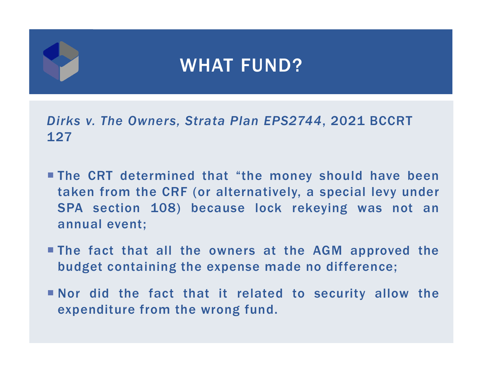*Dirks v. The Owners, Strata Plan EPS2744*, 2021 BCCRT 127

- The CRT determined that "the money should have been taken from the CRF (or alternatively, <sup>a</sup> special levy under SPA section 108) because lock rekeying was not an annual event;
- The fact that all the owners at the AGM approved the budget containing the expense made no difference;
- Nor did the fact that it related to security allow the expenditure from the wrong fund.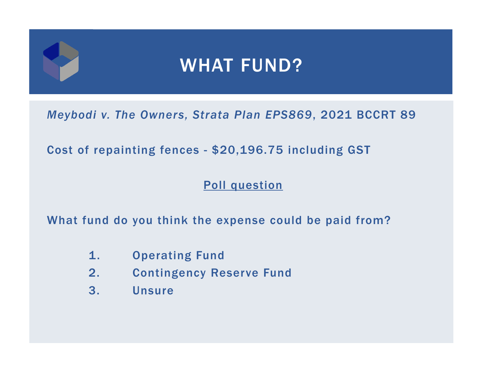*Meybodi v. The Owners, Strata Plan EPS869*, 2021 BCCRT 89

Cost of repainting fences - \$20,196.75 including GST

#### Poll question

What fund do you think the expense could be paid from?

- 1. Operating Fund
- 2. Contingency Reserve Fund
- 3. Unsure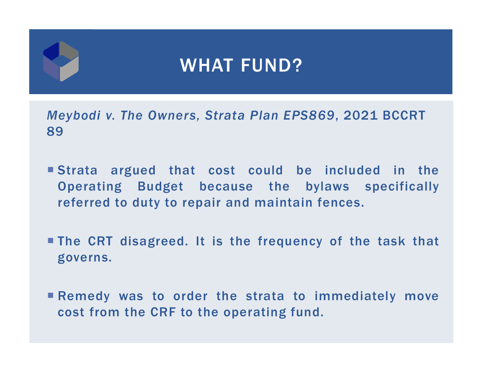*Meybodi v. The Owners, Strata Plan EPS869*, 2021 BCCRT 89

- Strata argued that cost could be included in the Operating Budget because the bylaws specifically referred to duty to repair and maintain fences.
- The CRT disagreed. It is the frequency of the task that governs.
- Remedy was to order the strata to immediately move cost from the CRF to the operating fund.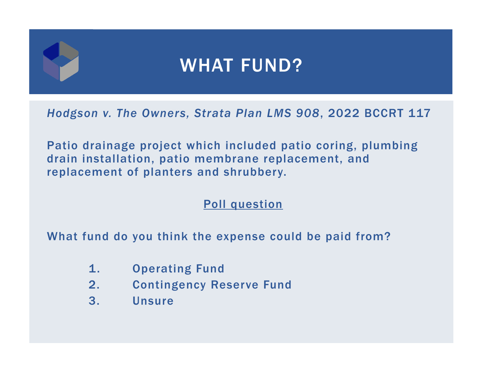*Hodgson v. The Owners, Strata Plan LMS 908*, 2022 BCCRT 117

Patio drainage project which included patio coring, plumbing drain installation, patio membrane replacement, and replacement of planters and shrubbery.

Poll question

What fund do you think the expense could be paid from?

- 1. Operating Fund
- 2. Contingency Reserve Fund
- 3. Unsure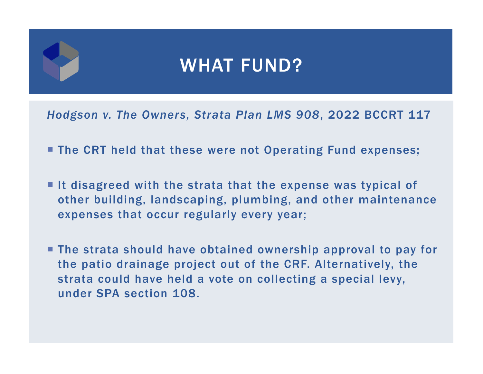*Hodgson v. The Owners, Strata Plan LMS 908*, 2022 BCCRT 117

- **The CRT held that these were not Operating Fund expenses;**
- $\blacksquare$  It disagreed with the strata that the expense was typical of other building, landscaping, plumbing, and other maintenance expenses that occur regularly every year;
- The strata should have obtained ownership approval to pay for the patio drainage project out of the CRF. Alternatively, the strata could have held a vote on collecting a special levy, under SPA section 108.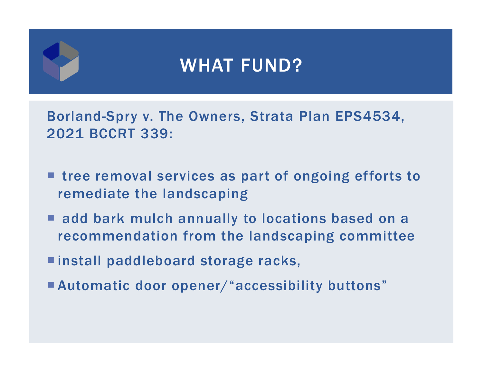Borland-Spry v. The Owners, Strata Plan EPS4534, 2021 BCCRT 339:

- tree removal services as part of ongoing efforts to remediate the landscaping
- add bark mulch annually to locations based on a recommendation from the landscaping committee
- install paddleboard storage racks,
- Automatic door opener/"accessibility buttons"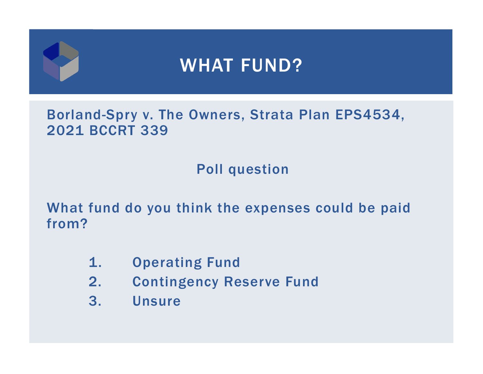#### Borland-Spry v. The Owners, Strata Plan EPS4534, 2021 BCCRT 339

#### Poll question

What fund do you think the expenses could be paid from?

- 1. Operating Fund
- 2. Contingency Reserve Fund
- 3. Unsure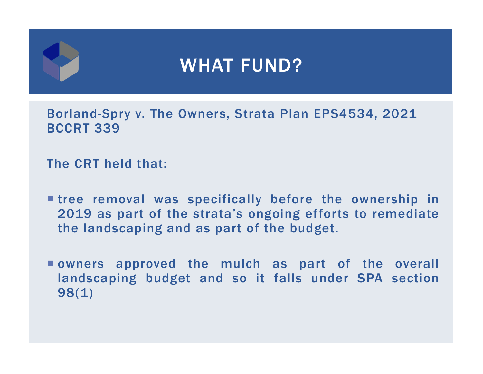Borland-Spry v. The Owners, Strata Plan EPS4534, 2021 BCCRT 339

The CRT held that:

- tree removal was specifically before the ownership in 2019 as part of the strata's ongoing efforts to remediate the landscaping and as part of the budget.
- owners approved the mulch as part of the overall landscaping budget and so it falls under SPA section 98(1)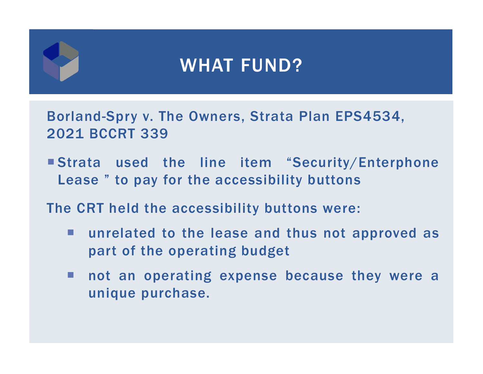Borland-Spry v. The Owners, Strata Plan EPS4534, 2021 BCCRT 339

 Strata used the line item "Security/Enterphone Lease " to pay for the accessibility buttons

The CRT held the accessibility buttons were:

- **College**  unrelated to the lease and thus not approved as part of the operating budget
- a a s not an operating expense because they were <sup>a</sup> unique purchase.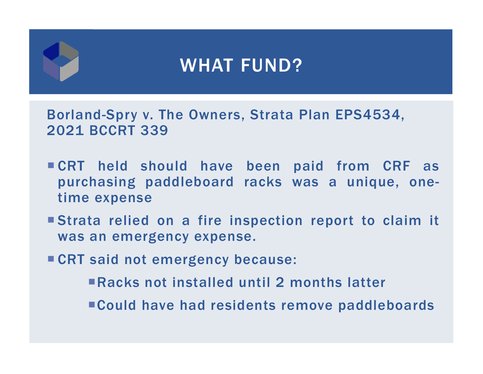Borland-Spry v. The Owners, Strata Plan EPS4534, 2021 BCCRT 339

- CRT held should have been paid from CRF as purchasing paddleboard racks was <sup>a</sup> unique, onetime expense
- Strata relied on <sup>a</sup> fire inspection report to claim it was an emergency expense.
- CRT said not emergency because:
	- Racks not installed until 2 months latter
	- Could have had residents remove paddleboards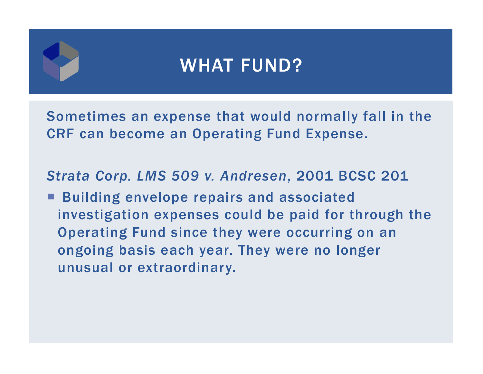Sometimes an expense that would normally fall in the CRF can become an Operating Fund Expense.

*Strata Corp. LMS 509 v. Andresen*, 2001 BCSC 201

■ Building envelope repairs and associated investigation expenses could be paid for through the Operating Fund since they were occurring on an ongoing basis each year. They were no longer unusual or extraordinary.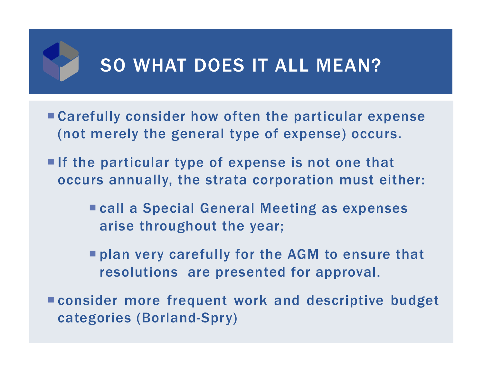# SO WHAT DOES IT ALL MEAN?

- Carefully consider how often the particular expense (not merely the general type of expense) occurs.
- If the particular type of expense is not one that occurs annually, the strata corporation must either:
	- call a Special General Meeting as expenses arise throughout the year;
	- **Phan very carefully for the AGM to ensure that** resolutions are presented for approval.
- consider more frequent work and descriptive budget categories (Borland-Spry)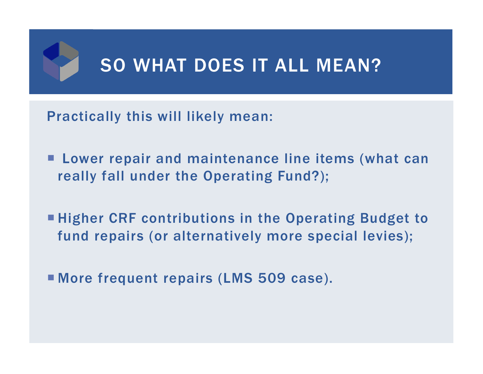# SO WHAT DOES IT ALL MEAN?

Practically this will likely mean:

- Lower repair and maintenance line items (what can really fall under the Operating Fund?);
- **Higher CRF contributions in the Operating Budget to** fund repairs (or alternatively more special levies);
- More frequent repairs (LMS 509 case).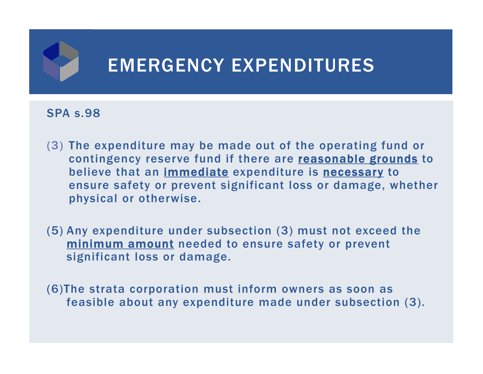

#### SPA s.98

- (3) The expenditure may be made out of the operating fund or contingency reserve fund if there are reasonable grounds to believe that an <u>immediate</u> expenditure is <u>necessary</u> to ensure safety or prevent significant loss or damage, whether physical or otherwise.
- (5) Any expenditure under subsection (3) must not exceed the minimum amount needed to ensure safety or prevent significant loss or damage.
- (6)The strata corporation must inform owners as soon as feasible about any expenditure made under subsection (3).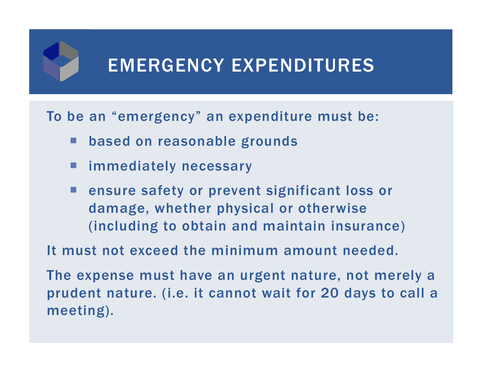#### EMERGENCY EXPENDITURES

To be an "emergency" an expenditure must be:

- based on reasonable grounds
- immediately necessary
- ensure safety or prevent significant loss or damage, whether physical or otherwise (including to obtain and maintain insurance)

It must not exceed the minimum amount needed.

The expense must have an urgent nature, not merely a prudent nature. (i.e. it cannot wait for 20 days to call a meeting).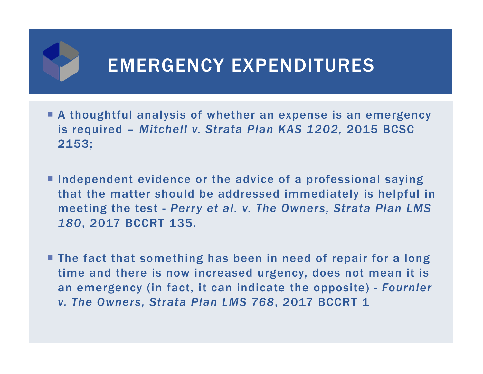# EMERGENCY EXPENDITURES

- A thoughtful analysis of whether an expense is an emergency is required – *Mitchell v. Strata Plan KAS 1202,* 2015 BCSC 2153;
- **Independent evidence or the advice of a professional saying** that the matter should be addressed immediately is helpful in meeting the test - *Perry et al. v. The Owners, Strata Plan LMS 180*, 2017 BCCRT 135.
- **The fact that something has been in need of repair for a long** time and there is now increased urgency, does not mean it is an emergency (in fact, it can indicate the opposite) - *Fournier v. The Owners, Strata Plan LMS 768*, 2017 BCCRT 1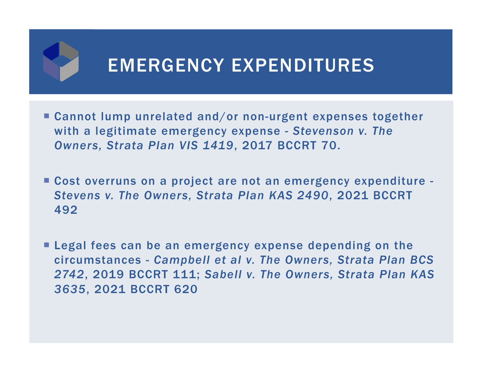# EMERGENCY EXPENDITURES

- Cannot lump unrelated and/or non-urgent expenses together with a legitimate emergency expense - *Stevenson v. The Owners, Strata Plan VIS 1419*, 2017 BCCRT 70.
- Cost overruns on a project are not an emergency expenditure *Stevens v. The Owners, Strata Plan KAS 2490*, 2021 BCCRT 492
- **Legal fees can be an emergency expense depending on the** circumstances - *Campbell et al v. The Owners, Strata Plan BCS 2742*, 2019 BCCRT 111; *Sabell v. The Owners, Strata Plan KAS 3635*, 2021 BCCRT 620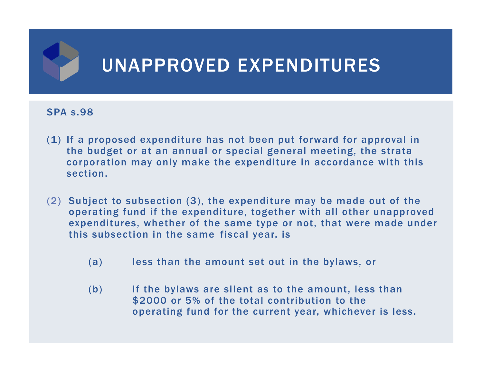

#### SPA s.98

- (1) If a proposed expenditure has not been put forward for approval in the budget or at an annual or special general meeting, the strata corporation may only make the expenditure in accordance with this section.
- (2) Subject to subsection (3), the expenditure may be made out of the operating fund if the expenditure, together with all other unapproved expenditures, whether of the same type or not, that were made under this subsection in the same fiscal year, is
	- (a) less than the amount set out in the bylaws, or
	- (b) if the bylaws are silent as to the amount, less than \$2000 or 5% of the total contribution to the operating fund for the current year, whichever is less.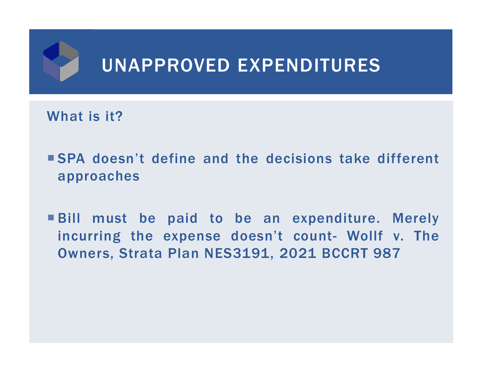

What is it?

- SPA doesn't define and the decisions take different approaches
- Bill must be paid to be an expenditure. Merely incurring the expense doesn't count- Wollf v. The Owners, Strata Plan NES3191, 2021 BCCRT 987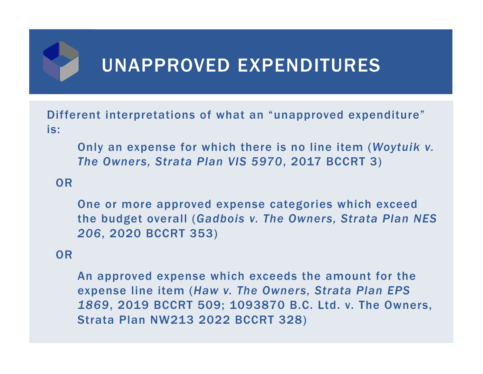# UNAPPROVED EXPENDITURES

Different interpretations of what an "unapproved expenditure" is:

Only an expense for which there is no line item (*Woytuik v. The Owners, Strata Plan VIS 5970*, 2017 BCCRT 3)

OR

One or more approved expense categories which exceed the budget overall (*Gadbois v. The Owners, Strata Plan NES 206*, 2020 BCCRT 353)

#### OR

An approved expense which exceeds the amount for the expense line item (*Haw v. The Owners, Strata Plan EPS 1869*, 2019 BCCRT 509; 1093870 B.C. Ltd. v. The Owners, Strata Plan NW213 2022 BCCRT 328)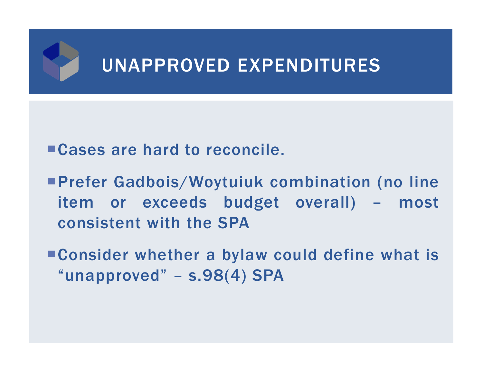

#### Cases are hard to reconcile.

- Prefer Gadbois/Woytuiuk combination (no line item or exceeds budget overall) – most consistent with the SPA
- Consider whether a bylaw could define what is "unapproved" – s.98(4) SPA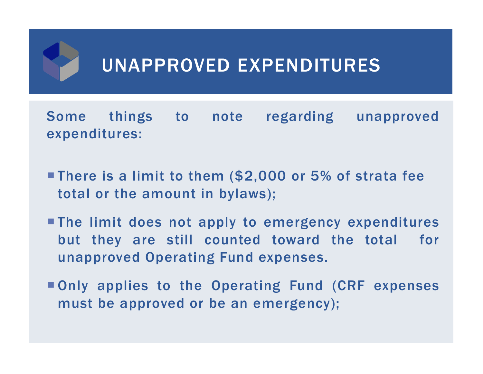# UNAPPROVED EXPENDITURES

Some things to note regarding unapproved expenditures:

- **There is a limit to them (\$2,000 or 5% of strata fee** total or the amount in bylaws);
- The limit does not apply to emergency expenditures but they are still counted toward the total for unapproved Operating Fund expenses.
- Only applies to the Operating Fund (CRF expenses must be approved or be an emergency);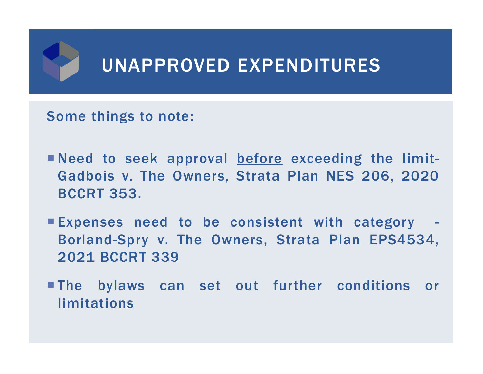

Some things to note:

- Need to seek approval before exceeding the limit-Gadbois v. The Owners, Strata Plan NES 206, 2020 BCCRT 353.
- Expenses need to be consistent with category Borland-Spry v. The Owners, Strata Plan EPS4534, 2021 BCCRT 339
- The bylaws can set out further conditions or limitations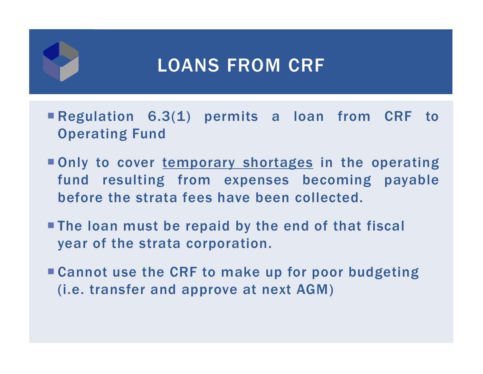# LOANS FROM CRF

- Regulation 6.3(1) permits <sup>a</sup> loan from CRF to Operating Fund
- Only to cover temporary shortages in the operating fund resulting from expenses becoming payable before the strata fees have been collected.
- The loan must be repaid by the end of that fiscal year of the strata corporation.
- Cannot use the CRF to make up for poor budgeting (i.e. transfer and approve at next AGM)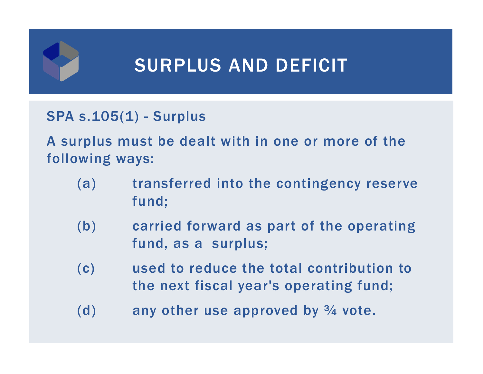

# SURPLUS AND DEFICIT

#### SPA s.105(1) - Surplus

A surplus must be dealt with in one or more of the following ways:

- (a) transferred into the contingency reserve fund;
- (b) carried forward as part of the operating fund, as a surplus;
- (c) used to reduce the total contribution to the next fiscal year's operating fund;
- (d) any other use approved by  $\frac{3}{4}$  vote.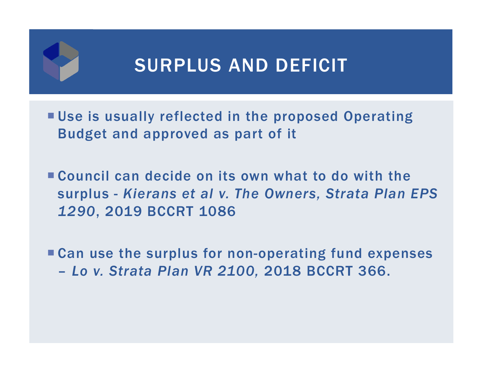

# SURPLUS AND DEFICIT

- Use is usually reflected in the proposed Operating Budget and approved as part of it
- Council can decide on its own what to do with the surplus - *Kierans et al v. The Owners, Strata Plan EPS 1290*, 2019 BCCRT 1086
- Can use the surplus for non-operating fund expenses –*Lo v. Strata Plan VR 2100,* 2018 BCCRT 366.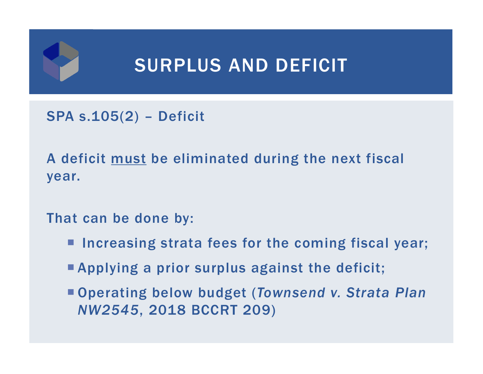

SPA s.105(2) – Deficit

A deficit must be eliminated during the next fiscal year.

That can be done by:

- **Increasing strata fees for the coming fiscal year;**
- Applying a prior surplus against the deficit;
- Operating below budget (*Townsend v. Strata Plan NW2545*, 2018 BCCRT 209)